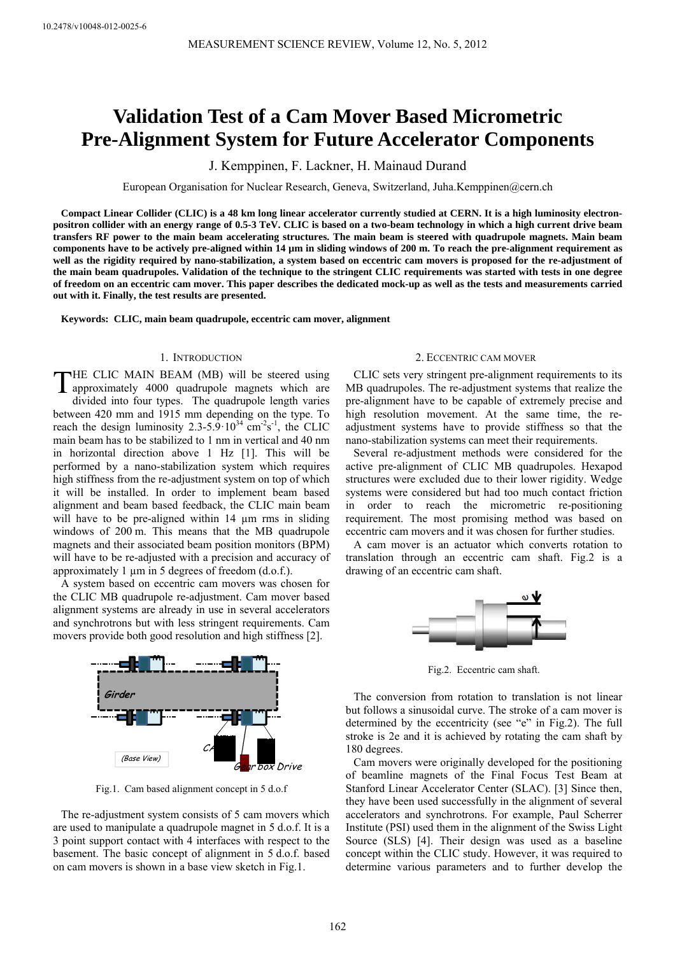# **Validation Test of a Cam Mover Based Micrometric Pre-Alignment System for Future Accelerator Components**

J. Kemppinen, F. Lackner, H. Mainaud Durand

European Organisation for Nuclear Research, Geneva, Switzerland, Juha.Kemppinen@cern.ch

**Compact Linear Collider (CLIC) is a 48 km long linear accelerator currently studied at CERN. It is a high luminosity electronpositron collider with an energy range of 0.5-3 TeV. CLIC is based on a two-beam technology in which a high current drive beam transfers RF power to the main beam accelerating structures. The main beam is steered with quadrupole magnets. Main beam components have to be actively pre-aligned within 14 µm in sliding windows of 200 m. To reach the pre-alignment requirement as well as the rigidity required by nano-stabilization, a system based on eccentric cam movers is proposed for the re-adjustment of the main beam quadrupoles. Validation of the technique to the stringent CLIC requirements was started with tests in one degree of freedom on an eccentric cam mover. This paper describes the dedicated mock-up as well as the tests and measurements carried out with it. Finally, the test results are presented.** 

**Keywords: CLIC, main beam quadrupole, eccentric cam mover, alignment** 

# 1. INTRODUCTION

HE CLIC MAIN BEAM (MB) will be steered using THE CLIC MAIN BEAM (MB) will be steered using<br>approximately 4000 quadrupole magnets which are divided into four types. The quadrupole length varies between 420 mm and 1915 mm depending on the type. To reach the design luminosity  $2.3 - 5.9 \cdot 10^{34}$  cm<sup>-2</sup>s<sup>-1</sup>, the CLIC main beam has to be stabilized to 1 nm in vertical and 40 nm in horizontal direction above 1 Hz [1]. This will be performed by a nano-stabilization system which requires high stiffness from the re-adjustment system on top of which it will be installed. In order to implement beam based alignment and beam based feedback, the CLIC main beam will have to be pre-aligned within 14  $\mu$ m rms in sliding windows of 200 m. This means that the MB quadrupole magnets and their associated beam position monitors (BPM) will have to be re-adjusted with a precision and accuracy of approximately 1 µm in 5 degrees of freedom (d.o.f.).

A system based on eccentric cam movers was chosen for the CLIC MB quadrupole re-adjustment. Cam mover based alignment systems are already in use in several accelerators and synchrotrons but with less stringent requirements. Cam movers provide both good resolution and high stiffness [2].



Fig.1. Cam based alignment concept in 5 d.o.f

The re-adjustment system consists of 5 cam movers which are used to manipulate a quadrupole magnet in 5 d.o.f. It is a 3 point support contact with 4 interfaces with respect to the basement. The basic concept of alignment in 5 d.o.f. based on cam movers is shown in a base view sketch in Fig.1.

## 2. ECCENTRIC CAM MOVER

CLIC sets very stringent pre-alignment requirements to its MB quadrupoles. The re-adjustment systems that realize the pre-alignment have to be capable of extremely precise and high resolution movement. At the same time, the readjustment systems have to provide stiffness so that the nano-stabilization systems can meet their requirements.

Several re-adjustment methods were considered for the active pre-alignment of CLIC MB quadrupoles. Hexapod structures were excluded due to their lower rigidity. Wedge systems were considered but had too much contact friction in order to reach the micrometric re-positioning requirement. The most promising method was based on eccentric cam movers and it was chosen for further studies.

A cam mover is an actuator which converts rotation to translation through an eccentric cam shaft. Fig.2 is a drawing of an eccentric cam shaft.



Fig.2. Eccentric cam shaft.

The conversion from rotation to translation is not linear but follows a sinusoidal curve. The stroke of a cam mover is determined by the eccentricity (see "e" in Fig.2). The full stroke is 2e and it is achieved by rotating the cam shaft by 180 degrees.

Cam movers were originally developed for the positioning of beamline magnets of the Final Focus Test Beam at Stanford Linear Accelerator Center (SLAC). [3] Since then, they have been used successfully in the alignment of several accelerators and synchrotrons. For example, Paul Scherrer Institute (PSI) used them in the alignment of the Swiss Light Source (SLS) [4]. Their design was used as a baseline concept within the CLIC study. However, it was required to determine various parameters and to further develop the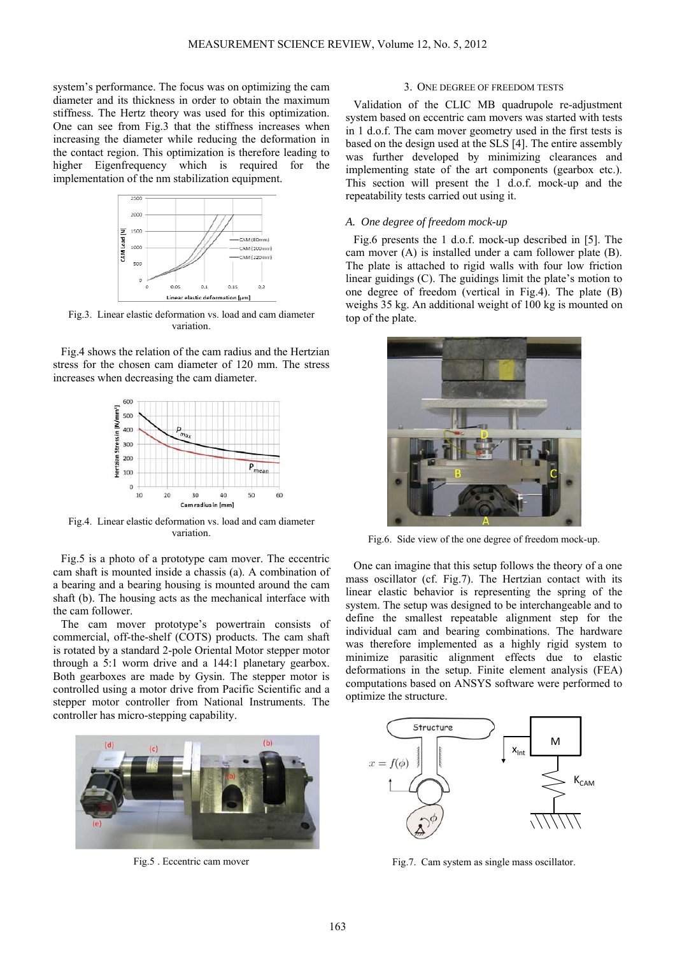system's performance. The focus was on optimizing the cam diameter and its thickness in order to obtain the maximum stiffness. The Hertz theory was used for this optimization. One can see from Fig.3 that the stiffness increases when increasing the diameter while reducing the deformation in the contact region. This optimization is therefore leading to higher Eigenfrequency which is required for the implementation of the nm stabilization equipment.



Fig.3. Linear elastic deformation vs. load and cam diameter variation.

Fig.4 shows the relation of the cam radius and the Hertzian stress for the chosen cam diameter of 120 mm. The stress increases when decreasing the cam diameter.



Fig.4. Linear elastic deformation vs. load and cam diameter variation.

Fig.5 is a photo of a prototype cam mover. The eccentric cam shaft is mounted inside a chassis (a). A combination of a bearing and a bearing housing is mounted around the cam shaft (b). The housing acts as the mechanical interface with the cam follower.

The cam mover prototype's powertrain consists of commercial, off-the-shelf (COTS) products. The cam shaft is rotated by a standard 2-pole Oriental Motor stepper motor through a 5:1 worm drive and a 144:1 planetary gearbox. Both gearboxes are made by Gysin. The stepper motor is controlled using a motor drive from Pacific Scientific and a stepper motor controller from National Instruments. The controller has micro-stepping capability.



Fig.5 . Eccentric cam mover

#### 3. ONE DEGREE OF FREEDOM TESTS

Validation of the CLIC MB quadrupole re-adjustment system based on eccentric cam movers was started with tests in 1 d.o.f. The cam mover geometry used in the first tests is based on the design used at the SLS [4]. The entire assembly was further developed by minimizing clearances and implementing state of the art components (gearbox etc.). This section will present the 1 d.o.f. mock-up and the repeatability tests carried out using it.

## *A. One degree of freedom mock-up*

Fig.6 presents the 1 d.o.f. mock-up described in [5]. The cam mover (A) is installed under a cam follower plate (B). The plate is attached to rigid walls with four low friction linear guidings (C). The guidings limit the plate's motion to one degree of freedom (vertical in Fig.4). The plate (B) weighs 35 kg. An additional weight of 100 kg is mounted on top of the plate.



Fig.6. Side view of the one degree of freedom mock-up.

One can imagine that this setup follows the theory of a one mass oscillator (cf. Fig.7). The Hertzian contact with its linear elastic behavior is representing the spring of the system. The setup was designed to be interchangeable and to define the smallest repeatable alignment step for the individual cam and bearing combinations. The hardware was therefore implemented as a highly rigid system to minimize parasitic alignment effects due to elastic deformations in the setup. Finite element analysis (FEA) computations based on ANSYS software were performed to optimize the structure.



Fig.7. Cam system as single mass oscillator.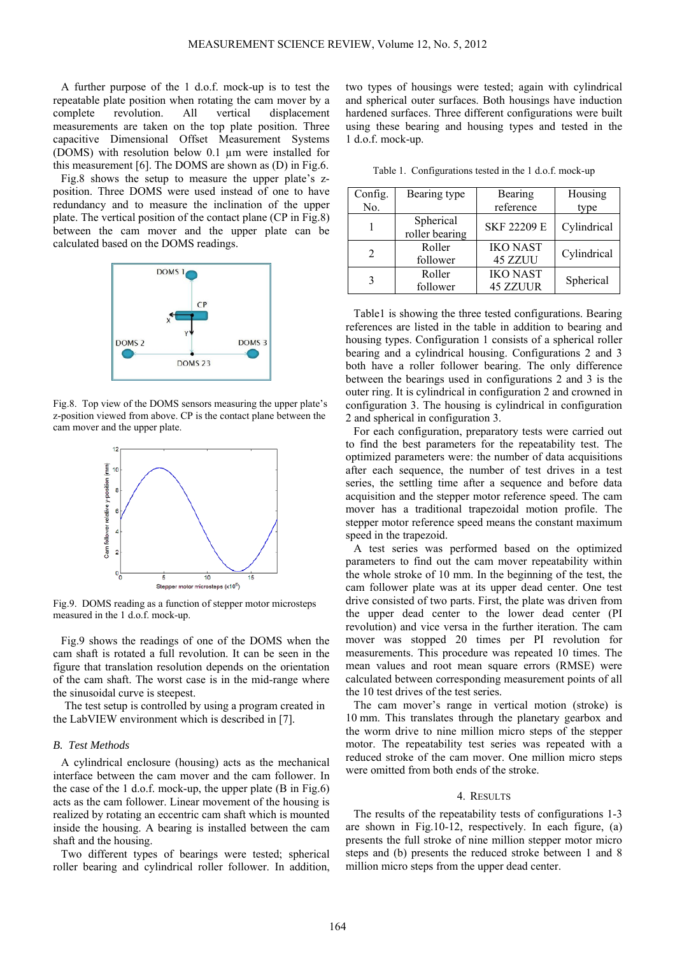A further purpose of the 1 d.o.f. mock-up is to test the repeatable plate position when rotating the cam mover by a complete revolution. All vertical displacement measurements are taken on the top plate position. Three capacitive Dimensional Offset Measurement Systems (DOMS) with resolution below 0.1 µm were installed for this measurement [6]. The DOMS are shown as (D) in Fig.6.

Fig.8 shows the setup to measure the upper plate's zposition. Three DOMS were used instead of one to have redundancy and to measure the inclination of the upper plate. The vertical position of the contact plane (CP in Fig.8) between the cam mover and the upper plate can be calculated based on the DOMS readings.



Fig.8. Top view of the DOMS sensors measuring the upper plate's z-position viewed from above. CP is the contact plane between the cam mover and the upper plate.



Fig.9. DOMS reading as a function of stepper motor microsteps measured in the 1 d.o.f. mock-up.

Fig.9 shows the readings of one of the DOMS when the cam shaft is rotated a full revolution. It can be seen in the figure that translation resolution depends on the orientation of the cam shaft. The worst case is in the mid-range where the sinusoidal curve is steepest.

The test setup is controlled by using a program created in the LabVIEW environment which is described in [7].

### *B. Test Methods*

A cylindrical enclosure (housing) acts as the mechanical interface between the cam mover and the cam follower. In the case of the 1 d.o.f. mock-up, the upper plate (B in Fig.6) acts as the cam follower. Linear movement of the housing is realized by rotating an eccentric cam shaft which is mounted inside the housing. A bearing is installed between the cam shaft and the housing.

Two different types of bearings were tested; spherical roller bearing and cylindrical roller follower. In addition, two types of housings were tested; again with cylindrical and spherical outer surfaces. Both housings have induction hardened surfaces. Three different configurations were built using these bearing and housing types and tested in the 1 d.o.f. mock-up.

Table 1. Configurations tested in the 1 d.o.f. mock-up

| Config. | Bearing type                | Bearing                            | Housing     |
|---------|-----------------------------|------------------------------------|-------------|
| No.     |                             | reference                          | type        |
|         | Spherical<br>roller bearing | SKF 22209 E                        | Cylindrical |
| 2       | Roller<br>follower          | <b>IKO NAST</b><br>45 ZZUU         | Cylindrical |
| 3       | Roller<br>follower          | <b>IKO NAST</b><br><b>45 ZZUUR</b> | Spherical   |

Table1 is showing the three tested configurations. Bearing references are listed in the table in addition to bearing and housing types. Configuration 1 consists of a spherical roller bearing and a cylindrical housing. Configurations 2 and 3 both have a roller follower bearing. The only difference between the bearings used in configurations 2 and 3 is the outer ring. It is cylindrical in configuration 2 and crowned in configuration 3. The housing is cylindrical in configuration 2 and spherical in configuration 3.

For each configuration, preparatory tests were carried out to find the best parameters for the repeatability test. The optimized parameters were: the number of data acquisitions after each sequence, the number of test drives in a test series, the settling time after a sequence and before data acquisition and the stepper motor reference speed. The cam mover has a traditional trapezoidal motion profile. The stepper motor reference speed means the constant maximum speed in the trapezoid.

A test series was performed based on the optimized parameters to find out the cam mover repeatability within the whole stroke of 10 mm. In the beginning of the test, the cam follower plate was at its upper dead center. One test drive consisted of two parts. First, the plate was driven from the upper dead center to the lower dead center (PI revolution) and vice versa in the further iteration. The cam mover was stopped 20 times per PI revolution for measurements. This procedure was repeated 10 times. The mean values and root mean square errors (RMSE) were calculated between corresponding measurement points of all the 10 test drives of the test series.

The cam mover's range in vertical motion (stroke) is 10 mm. This translates through the planetary gearbox and the worm drive to nine million micro steps of the stepper motor. The repeatability test series was repeated with a reduced stroke of the cam mover. One million micro steps were omitted from both ends of the stroke.

#### 4. RESULTS

The results of the repeatability tests of configurations 1-3 are shown in Fig.10-12, respectively. In each figure, (a) presents the full stroke of nine million stepper motor micro steps and (b) presents the reduced stroke between 1 and 8 million micro steps from the upper dead center.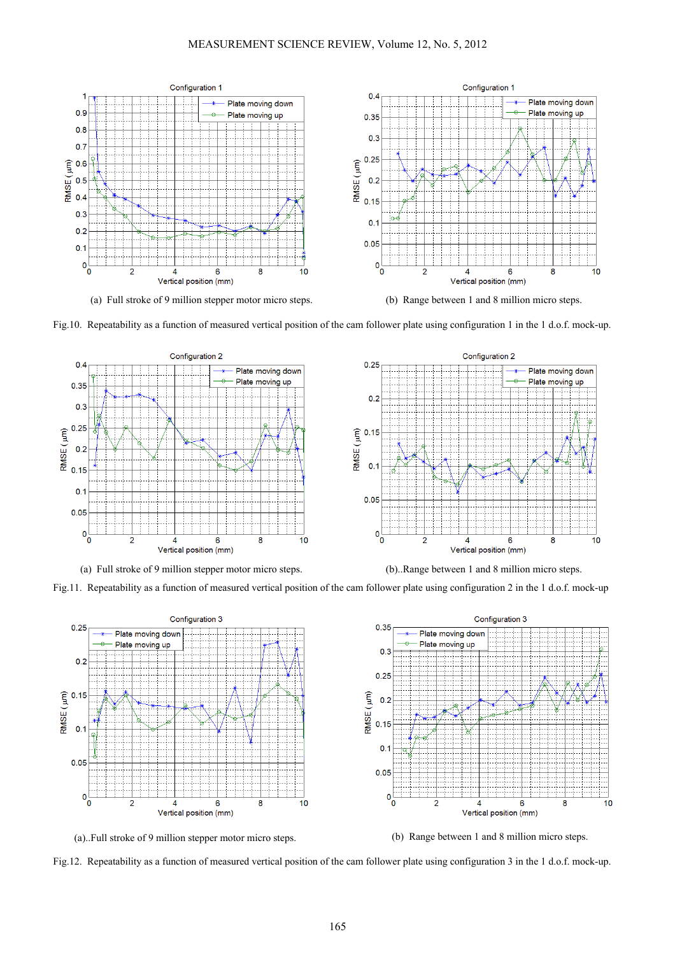

(a) Full stroke of 9 million stepper motor micro steps. (b) Range between 1 and 8 million micro steps.





(a) Full stroke of 9 million stepper motor micro steps. (b)..Range between 1 and 8 million micro steps.



Fig.11. Repeatability as a function of measured vertical position of the cam follower plate using configuration 2 in the 1 d.o.f. mock-up





Fig.12. Repeatability as a function of measured vertical position of the cam follower plate using configuration 3 in the 1 d.o.f. mock-up.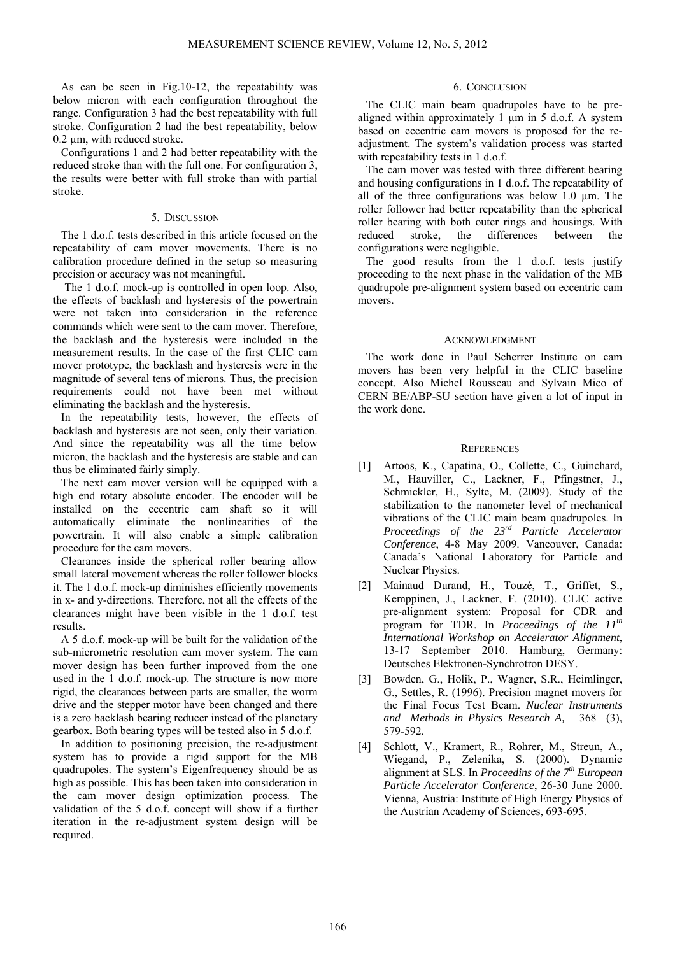As can be seen in Fig.10-12, the repeatability was below micron with each configuration throughout the range. Configuration 3 had the best repeatability with full stroke. Configuration 2 had the best repeatability, below 0.2 µm, with reduced stroke.

Configurations 1 and 2 had better repeatability with the reduced stroke than with the full one. For configuration 3, the results were better with full stroke than with partial stroke.

# 5. DISCUSSION

The 1 d.o.f. tests described in this article focused on the repeatability of cam mover movements. There is no calibration procedure defined in the setup so measuring precision or accuracy was not meaningful.

The 1 d.o.f. mock-up is controlled in open loop. Also, the effects of backlash and hysteresis of the powertrain were not taken into consideration in the reference commands which were sent to the cam mover. Therefore, the backlash and the hysteresis were included in the measurement results. In the case of the first CLIC cam mover prototype, the backlash and hysteresis were in the magnitude of several tens of microns. Thus, the precision requirements could not have been met without eliminating the backlash and the hysteresis.

In the repeatability tests, however, the effects of backlash and hysteresis are not seen, only their variation. And since the repeatability was all the time below micron, the backlash and the hysteresis are stable and can thus be eliminated fairly simply.

The next cam mover version will be equipped with a high end rotary absolute encoder. The encoder will be installed on the eccentric cam shaft so it will automatically eliminate the nonlinearities of the powertrain. It will also enable a simple calibration procedure for the cam movers.

Clearances inside the spherical roller bearing allow small lateral movement whereas the roller follower blocks it. The 1 d.o.f. mock-up diminishes efficiently movements in x- and y-directions. Therefore, not all the effects of the clearances might have been visible in the 1 d.o.f. test results.

A 5 d.o.f. mock-up will be built for the validation of the sub-micrometric resolution cam mover system. The cam mover design has been further improved from the one used in the 1 d.o.f. mock-up. The structure is now more rigid, the clearances between parts are smaller, the worm drive and the stepper motor have been changed and there is a zero backlash bearing reducer instead of the planetary gearbox. Both bearing types will be tested also in 5 d.o.f.

In addition to positioning precision, the re-adjustment system has to provide a rigid support for the MB quadrupoles. The system's Eigenfrequency should be as high as possible. This has been taken into consideration in the cam mover design optimization process. The validation of the 5 d.o.f. concept will show if a further iteration in the re-adjustment system design will be required.

# 6. CONCLUSION

The CLIC main beam quadrupoles have to be prealigned within approximately 1  $\mu$ m in 5 d.o.f. A system based on eccentric cam movers is proposed for the readjustment. The system's validation process was started with repeatability tests in 1 d.o.f.

The cam mover was tested with three different bearing and housing configurations in 1 d.o.f. The repeatability of all of the three configurations was below 1.0 µm. The roller follower had better repeatability than the spherical roller bearing with both outer rings and housings. With reduced stroke, the differences between the configurations were negligible.

The good results from the 1 d.o.f. tests justify proceeding to the next phase in the validation of the MB quadrupole pre-alignment system based on eccentric cam movers.

# ACKNOWLEDGMENT

The work done in Paul Scherrer Institute on cam movers has been very helpful in the CLIC baseline concept. Also Michel Rousseau and Sylvain Mico of CERN BE/ABP-SU section have given a lot of input in the work done.

## **REFERENCES**

- [1] Artoos, K., Capatina, O., Collette, C., Guinchard, M., Hauviller, C., Lackner, F., Pfingstner, J., Schmickler, H., Sylte, M. (2009). Study of the stabilization to the nanometer level of mechanical vibrations of the CLIC main beam quadrupoles. In *Proceedings of the 23rd Particle Accelerator Conference*, 4-8 May 2009. Vancouver, Canada: Canada's National Laboratory for Particle and Nuclear Physics.
- [2] Mainaud Durand, H., Touzé, T., Griffet, S., Kemppinen, J., Lackner, F. (2010). CLIC active pre-alignment system: Proposal for CDR and program for TDR. In *Proceedings of the 11th International Workshop on Accelerator Alignment*, 13-17 September 2010. Hamburg, Germany: Deutsches Elektronen-Synchrotron DESY.
- [3] Bowden, G., Holik, P., Wagner, S.R., Heimlinger, G., Settles, R. (1996). Precision magnet movers for the Final Focus Test Beam. *Nuclear Instruments and Methods in Physics Research A,* 368 (3), 579-592.
- [4] Schlott, V., Kramert, R., Rohrer, M., Streun, A., Wiegand, P., Zelenika, S. (2000). Dynamic alignment at SLS. In *Proceedins of the 7th European Particle Accelerator Conference*, 26-30 June 2000. Vienna, Austria: Institute of High Energy Physics of the Austrian Academy of Sciences, 693-695.